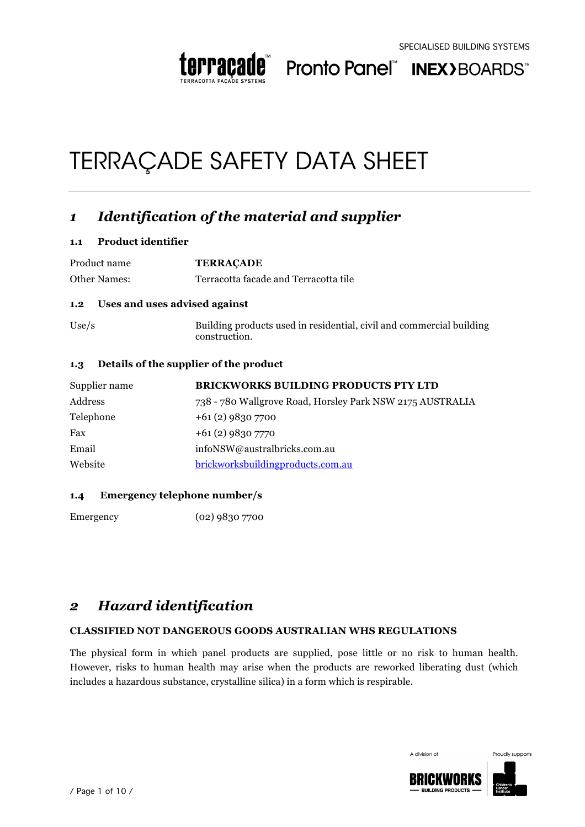

Pronto Panel" INEX>BOARDS"

# TERRAÇADE SAFETY DATA SHEET

### *1 Identification of the material and supplier*

#### **1.1 Product identifier**

Product name **TERRAÇADE** Other Names: Terracotta facade and Terracotta tile **1.2 Uses and uses advised against** Use/s Building products used in residential, civil and commercial building

construction.

#### **1.3 Details of the supplier of the product**

| Supplier name | <b>BRICKWORKS BUILDING PRODUCTS PTY LTD</b>               |
|---------------|-----------------------------------------------------------|
| Address       | 738 - 780 Wallgrove Road, Horsley Park NSW 2175 AUSTRALIA |
| Telephone     | $+61(2)$ 9830 7700                                        |
| Fax           | $+61(2)98307770$                                          |
| Email         | infoNSW@australbricks.com.au                              |
| Website       | brickworksbuildingproducts.com.au                         |

#### **1.4 Emergency telephone number/s**

Emergency (02) 9830 7700

### *2 Hazard identification*

#### **CLASSIFIED NOT DANGEROUS GOODS AUSTRALIAN WHS REGULATIONS**

The physical form in which panel products are supplied, pose little or no risk to human health. However, risks to human health may arise when the products are reworked liberating dust (which includes a hazardous substance, crystalline silica) in a form which is respirable.



Proudly supports

A division of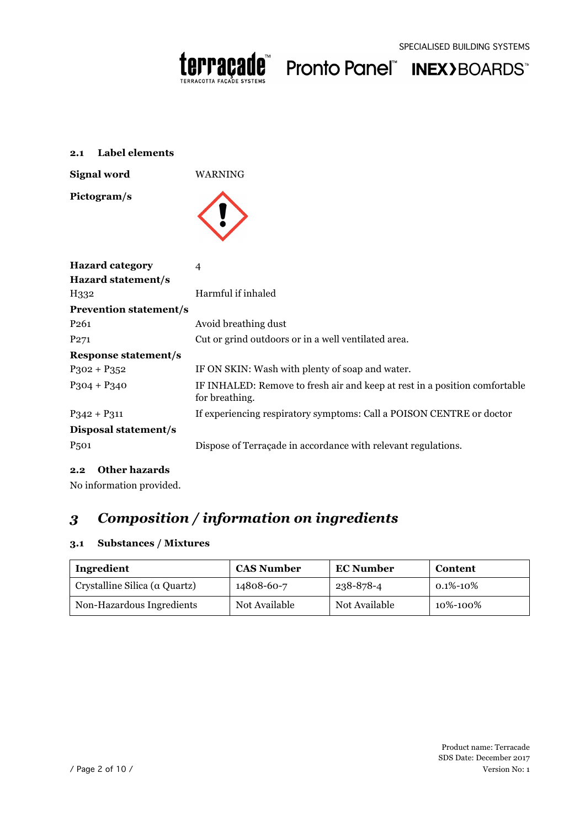



#### **2.1 Label elements**

**Signal word** WARNING

**Pictogram/s**



| <b>Hazard category</b>        | 4                                                                                            |
|-------------------------------|----------------------------------------------------------------------------------------------|
| Hazard statement/s            |                                                                                              |
| H332                          | Harmful if inhaled                                                                           |
| <b>Prevention statement/s</b> |                                                                                              |
| P <sub>261</sub>              | Avoid breathing dust                                                                         |
| P <sub>271</sub>              | Cut or grind outdoors or in a well ventilated area.                                          |
| <b>Response statement/s</b>   |                                                                                              |
| $P_3$ 02 + $P_3$ 52           | IF ON SKIN: Wash with plenty of soap and water.                                              |
| $P_3O4 + P_34O$               | IF INHALED: Remove to fresh air and keep at rest in a position comfortable<br>for breathing. |
| $P_342 + P_311$               | If experiencing respiratory symptoms: Call a POISON CENTRE or doctor                         |
| Disposal statement/s          |                                                                                              |
| P <sub>501</sub>              | Dispose of Terraçade in accordance with relevant regulations.                                |

#### **2.2 Other hazards**

No information provided.

### *3 Composition / information on ingredients*

#### **3.1 Substances / Mixtures**

| Ingredient                                    | <b>CAS Number</b> | <b>EC Number</b> | Content          |
|-----------------------------------------------|-------------------|------------------|------------------|
| $\vert$ Crystalline Silica ( $\alpha$ Quartz) | 14808-60-7        | 238-878-4        | $0.1\%$ -10 $\%$ |
| Non-Hazardous Ingredients                     | Not Available     | Not Available    | 10%-100%         |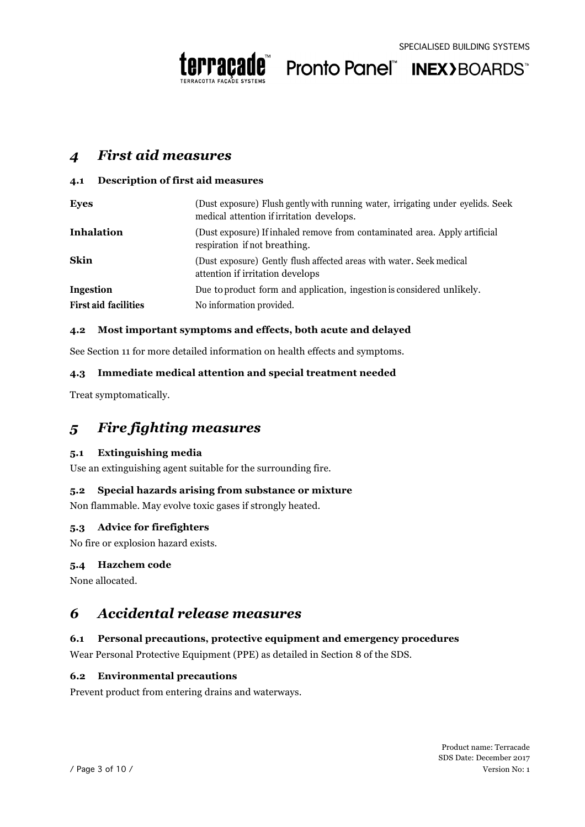



### *4 First aid measures*

#### **4.1 Description of first aid measures**

| <b>Eyes</b>                 | (Dust exposure) Flush gently with running water, irrigating under eyelids. Seek<br>medical attention if irritation develops. |
|-----------------------------|------------------------------------------------------------------------------------------------------------------------------|
| <b>Inhalation</b>           | (Dust exposure) If inhaled remove from contaminated area. Apply artificial<br>respiration if not breathing.                  |
| Skin                        | (Dust exposure) Gently flush affected areas with water. Seek medical<br>attention if irritation develops                     |
| Ingestion                   | Due to product form and application, ingestion is considered unlikely.                                                       |
| <b>First aid facilities</b> | No information provided.                                                                                                     |

#### **4.2 Most important symptoms and effects, both acute and delayed**

See Section 11 for more detailed information on health effects and symptoms.

#### **4.3 Immediate medical attention and special treatment needed**

Treat symptomatically.

### *5 Fire fighting measures*

#### **5.1 Extinguishing media**

Use an extinguishing agent suitable for the surrounding fire.

#### **5.2 Special hazards arising from substance or mixture**

Non flammable. May evolve toxic gases if strongly heated.

#### **5.3 Advice for firefighters**

No fire or explosion hazard exists.

#### **5.4 Hazchem code**

None allocated.

### *6 Accidental release measures*

#### **6.1 Personal precautions, protective equipment and emergency procedures**

Wear Personal Protective Equipment (PPE) as detailed in Section 8 of the SDS.

#### **6.2 Environmental precautions**

Prevent product from entering drains and waterways.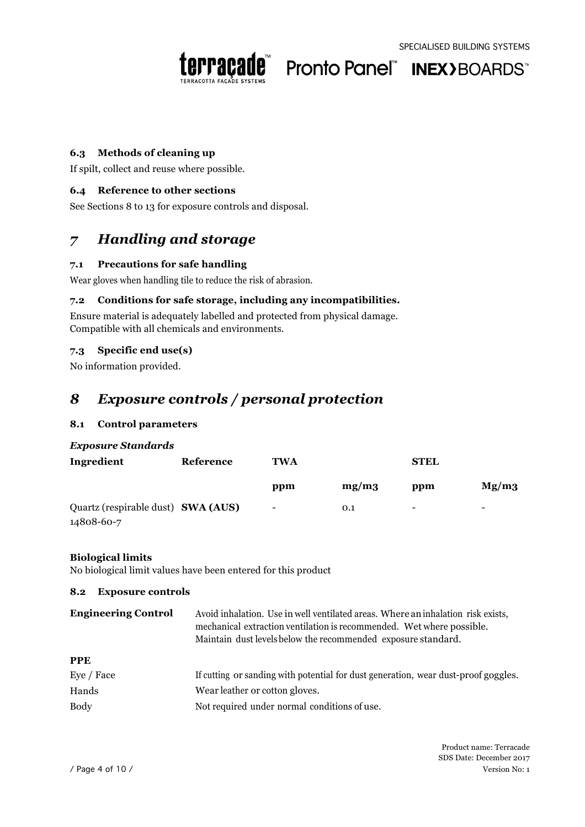



#### **6.3 Methods of cleaning up**

If spilt, collect and reuse where possible.

#### **6.4 Reference to other sections**

See Sections 8 to 13 for exposure controls and disposal.

### *7 Handling and storage*

#### **7.1 Precautions for safe handling**

Wear gloves when handling tile to reduce the risk of abrasion.

#### **7.2 Conditions for safe storage, including any incompatibilities.**

Ensure material is adequately labelled and protected from physical damage. Compatible with all chemicals and environments.

#### **7.3 Specific end use(s)**

No information provided.

### *8 Exposure controls / personal protection*

#### **8.1 Control parameters**

#### *Exposure Standards*

| Ingredient                                       | Reference | TWA                      |       | <b>STEL</b>              |                          |
|--------------------------------------------------|-----------|--------------------------|-------|--------------------------|--------------------------|
|                                                  |           | ppm                      | mg/m3 | ppm                      | Mg/m3                    |
| Quartz (respirable dust) SWA (AUS)<br>14808-60-7 |           | $\overline{\phantom{0}}$ | 0.1   | $\overline{\phantom{0}}$ | $\overline{\phantom{0}}$ |

#### **Biological limits**

No biological limit values have been entered for this product

#### **8.2 Exposure controls**

| <b>Engineering Control</b> | Avoid inhalation. Use in well ventilated areas. Where an inhalation risk exists,<br>mechanical extraction ventilation is recommended. Wet where possible.<br>Maintain dust levels below the recommended exposure standard. |
|----------------------------|----------------------------------------------------------------------------------------------------------------------------------------------------------------------------------------------------------------------------|
| <b>PPE</b>                 |                                                                                                                                                                                                                            |
| Eye / Face                 | If cutting or sanding with potential for dust generation, wear dust-proof goggles.                                                                                                                                         |
| Hands                      | Wear leather or cotton gloves.                                                                                                                                                                                             |
| Body                       | Not required under normal conditions of use.                                                                                                                                                                               |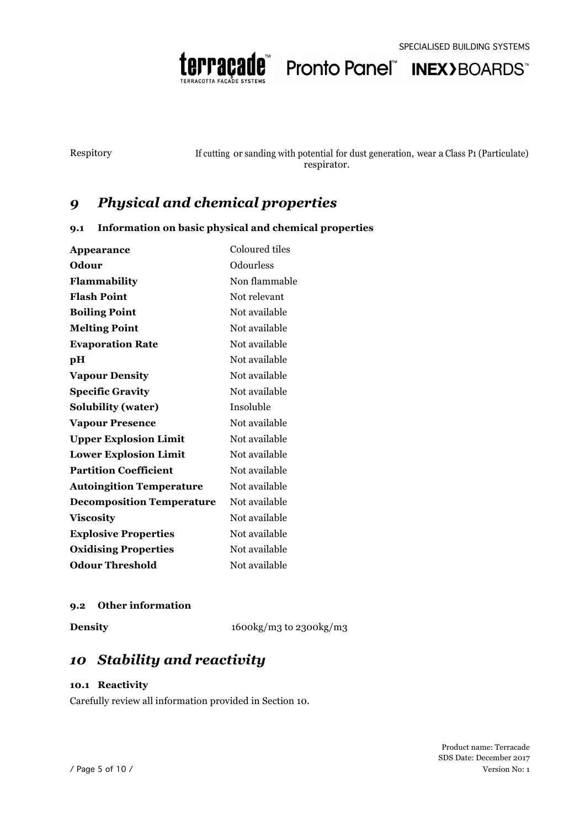

Pronto Panel" INEX>BOARDS"

Respitory If cutting or sanding with potential for dust generation, wear a Class P1 (Particulate) respirator.

### *9 Physical and chemical properties*

#### **9.1 Information on basic physical and chemical properties**

| <b>Appearance</b>                | Coloured tiles |
|----------------------------------|----------------|
| Odour                            | Odourless      |
| Flammability                     | Non flammable  |
| <b>Flash Point</b>               | Not relevant   |
| <b>Boiling Point</b>             | Not available  |
| <b>Melting Point</b>             | Not available  |
| <b>Evaporation Rate</b>          | Not available  |
| pН                               | Not available  |
| <b>Vapour Density</b>            | Not available  |
| <b>Specific Gravity</b>          | Not available  |
| <b>Solubility (water)</b>        | Insoluble      |
| <b>Vapour Presence</b>           | Not available  |
| <b>Upper Explosion Limit</b>     | Not available  |
| <b>Lower Explosion Limit</b>     | Not available  |
| <b>Partition Coefficient</b>     | Not available  |
| <b>Autoingition Temperature</b>  | Not available  |
| <b>Decomposition Temperature</b> | Not available  |
| <b>Viscosity</b>                 | Not available  |
| <b>Explosive Properties</b>      | Not available  |
| <b>Oxidising Properties</b>      | Not available  |
| <b>Odour Threshold</b>           | Not available  |

#### **9.2 Other information**

**Density** 1600kg/m3 to 2300kg/m3

### *10 Stability and reactivity*

#### **10.1 Reactivity**

Carefully review all information provided in Section 10.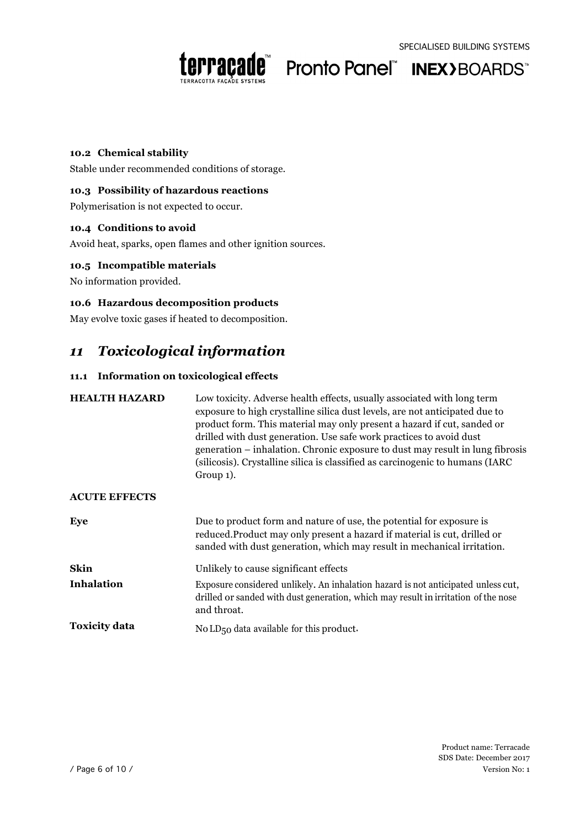



#### **10.2 Chemical stability**

Stable under recommended conditions of storage.

#### **10.3 Possibility of hazardous reactions**

Polymerisation is not expected to occur.

#### **10.4 Conditions to avoid**

Avoid heat, sparks, open flames and other ignition sources.

#### **10.5 Incompatible materials**

No information provided.

#### **10.6 Hazardous decomposition products**

May evolve toxic gases if heated to decomposition.

### *11 Toxicological information*

#### **11.1 Information on toxicological effects**

| <b>HEALTH HAZARD</b> | Low toxicity. Adverse health effects, usually associated with long term<br>exposure to high crystalline silica dust levels, are not anticipated due to<br>product form. This material may only present a hazard if cut, sanded or<br>drilled with dust generation. Use safe work practices to avoid dust<br>generation – inhalation. Chronic exposure to dust may result in lung fibrosis<br>(silicosis). Crystalline silica is classified as carcinogenic to humans (IARC)<br>Group 1). |
|----------------------|------------------------------------------------------------------------------------------------------------------------------------------------------------------------------------------------------------------------------------------------------------------------------------------------------------------------------------------------------------------------------------------------------------------------------------------------------------------------------------------|
| <b>ACUTE EFFECTS</b> |                                                                                                                                                                                                                                                                                                                                                                                                                                                                                          |
| Eye                  | Due to product form and nature of use, the potential for exposure is<br>reduced. Product may only present a hazard if material is cut, drilled or<br>sanded with dust generation, which may result in mechanical irritation.                                                                                                                                                                                                                                                             |
| Skin                 | Unlikely to cause significant effects                                                                                                                                                                                                                                                                                                                                                                                                                                                    |
| <b>Inhalation</b>    | Exposure considered unlikely. An inhalation hazard is not anticipated unless cut,<br>drilled or sanded with dust generation, which may result in irritation of the nose<br>and throat.                                                                                                                                                                                                                                                                                                   |
| <b>Toxicity data</b> | No LD <sub>50</sub> data available for this product.                                                                                                                                                                                                                                                                                                                                                                                                                                     |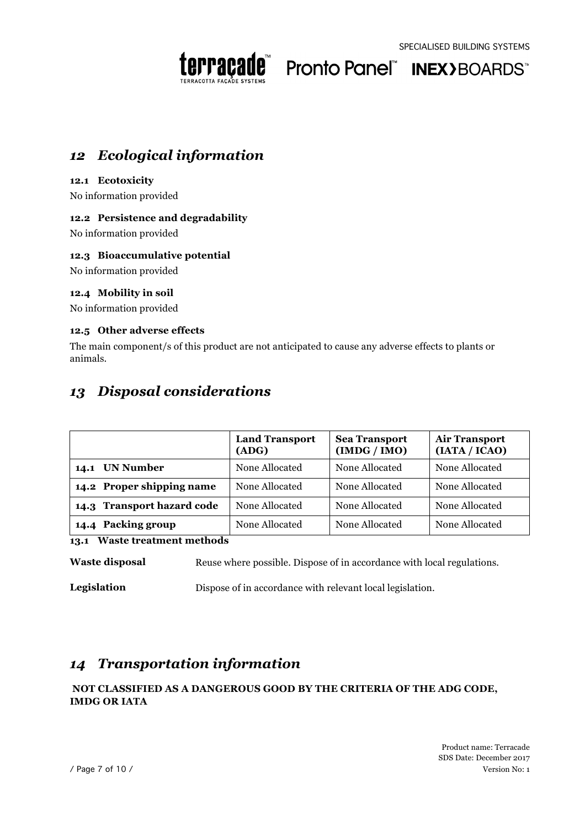



### *12 Ecological information*

#### **12.1 Ecotoxicity**

No information provided

#### **12.2 Persistence and degradability**

No information provided

#### **12.3 Bioaccumulative potential**

No information provided

#### **12.4 Mobility in soil**

No information provided

#### **12.5 Other adverse effects**

The main component/s of this product are not anticipated to cause any adverse effects to plants or animals.

### *13 Disposal considerations*

|                            | <b>Land Transport</b><br>(ADG) | <b>Sea Transport</b><br>(IMDG /IMO) | <b>Air Transport</b><br>(IATA / ICAO) |
|----------------------------|--------------------------------|-------------------------------------|---------------------------------------|
| 14.1 UN Number             | None Allocated                 | None Allocated                      | None Allocated                        |
| 14.2 Proper shipping name  | None Allocated                 | None Allocated                      | None Allocated                        |
| 14.3 Transport hazard code | None Allocated                 | None Allocated                      | None Allocated                        |
| 14.4 Packing group         | None Allocated                 | None Allocated                      | None Allocated                        |

#### **13.1 Waste treatment methods**

**Waste disposal** Reuse where possible. Dispose of in accordance with local regulations.

**Legislation** Dispose of in accordance with relevant local legislation.

### *14 Transportation information*

#### **NOT CLASSIFIED AS A DANGEROUS GOOD BY THE CRITERIA OF THE ADG CODE, IMDG OR IATA**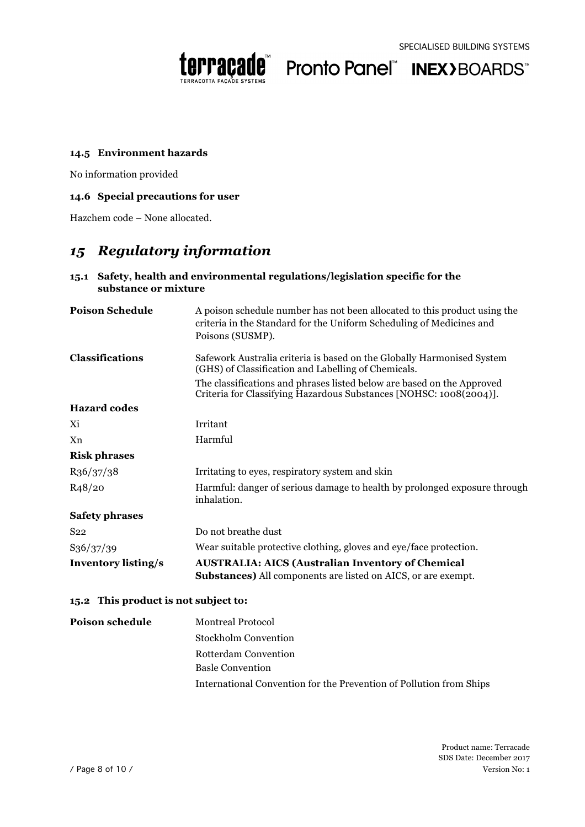



#### **14.5 Environment hazards**

No information provided

#### **14.6 Special precautions for user**

Hazchem code – None allocated.

### *15 Regulatory information*

| substance or mixture                            | 15.1 Safety, health and environmental regulations/legislation specific for the                                                                                        |
|-------------------------------------------------|-----------------------------------------------------------------------------------------------------------------------------------------------------------------------|
| <b>Poison Schedule</b>                          | A poison schedule number has not been allocated to this product using the<br>criteria in the Standard for the Uniform Scheduling of Medicines and<br>Poisons (SUSMP). |
| Classifications                                 | Safework Australia criteria is based on the Globally Harmonised System<br>(GHS) of Classification and Labelling of Chemicals.                                         |
|                                                 | The classifications and phrases listed below are based on the Approved<br>Criteria for Classifying Hazardous Substances [NOHSC: 1008(2004)].                          |
| <b>Hazard</b> codes                             |                                                                                                                                                                       |
| Χi                                              | Irritant                                                                                                                                                              |
| Xn                                              | Harmful                                                                                                                                                               |
| <b>Risk phrases</b>                             |                                                                                                                                                                       |
| R <sub>36</sub> / <sub>37</sub> / <sub>38</sub> | Irritating to eyes, respiratory system and skin                                                                                                                       |
| R <sub>4</sub> 8/20                             | Harmful: danger of serious damage to health by prolonged exposure through<br>inhalation.                                                                              |
| <b>Safety phrases</b>                           |                                                                                                                                                                       |
| S <sub>22</sub>                                 | Do not breathe dust                                                                                                                                                   |
| S <sub>36</sub> / <sub>37</sub> / <sub>39</sub> | Wear suitable protective clothing, gloves and eye/face protection.                                                                                                    |
| <b>Inventory listing/s</b>                      | <b>AUSTRALIA: AICS (Australian Inventory of Chemical</b><br><b>Substances)</b> All components are listed on AICS, or are exempt.                                      |
| 15.2 This product is not subject to:            |                                                                                                                                                                       |

### **Poison schedule** Montreal Protocol Stockholm Convention Rotterdam Convention Basle Convention International Convention for the Prevention of Pollution from Ships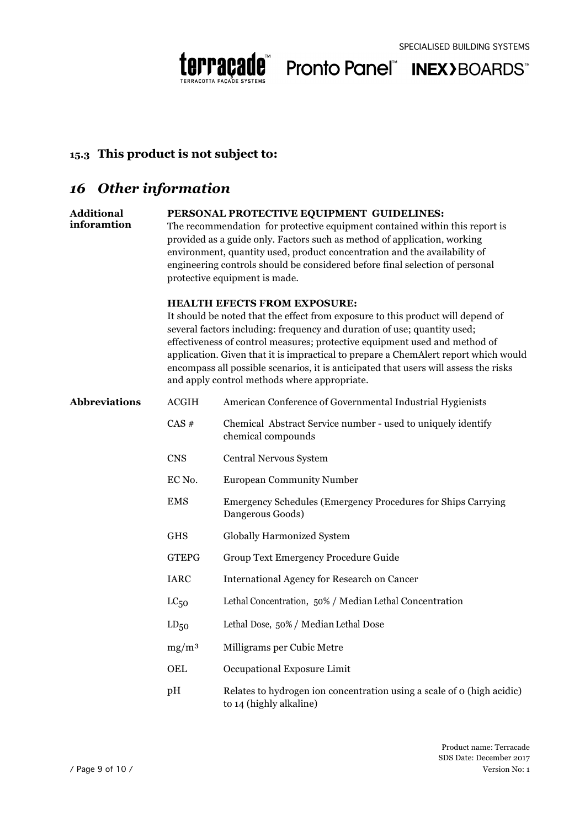



### **15.3 This product is not subject to:**

### *16 Other information*

#### **Additional PERSONAL PROTECTIVE EQUIPMENT GUIDELINES:**

**inforamtion** The recommendation for protective equipment contained within this report is provided as a guide only. Factors such as method of application, working environment, quantity used, product concentration and the availability of engineering controls should be considered before final selection of personal protective equipment is made.

#### **HEALTH EFECTS FROM EXPOSURE:**

It should be noted that the effect from exposure to this product will depend of several factors including: frequency and duration of use; quantity used; effectiveness of control measures; protective equipment used and method of application. Given that it is impractical to prepare a ChemAlert report which would encompass all possible scenarios, it is anticipated that users will assess the risks and apply control methods where appropriate.

| <b>Abbreviations</b> | <b>ACGIH</b> | American Conference of Governmental Industrial Hygienists                                         |
|----------------------|--------------|---------------------------------------------------------------------------------------------------|
|                      | $CAS$ #      | Chemical Abstract Service number - used to uniquely identify<br>chemical compounds                |
|                      | <b>CNS</b>   | Central Nervous System                                                                            |
|                      | EC No.       | <b>European Community Number</b>                                                                  |
|                      | <b>EMS</b>   | Emergency Schedules (Emergency Procedures for Ships Carrying)<br>Dangerous Goods)                 |
|                      | <b>GHS</b>   | <b>Globally Harmonized System</b>                                                                 |
|                      | <b>GTEPG</b> | Group Text Emergency Procedure Guide                                                              |
|                      | <b>IARC</b>  | <b>International Agency for Research on Cancer</b>                                                |
|                      | $LC_{50}$    | Lethal Concentration, 50% / Median Lethal Concentration                                           |
|                      | $LD_{50}$    | Lethal Dose, 50% / Median Lethal Dose                                                             |
|                      | $mg/m^3$     | Milligrams per Cubic Metre                                                                        |
|                      | <b>OEL</b>   | Occupational Exposure Limit                                                                       |
|                      | pH           | Relates to hydrogen ion concentration using a scale of o (high acidic)<br>to 14 (highly alkaline) |